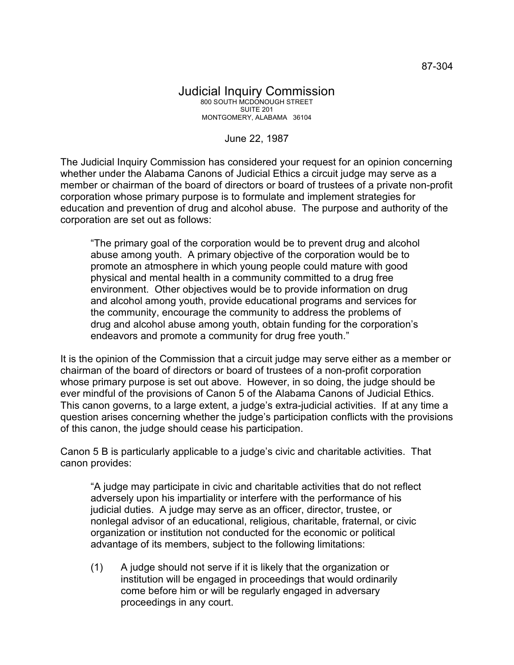## Judicial Inquiry Commission 800 SOUTH MCDONOUGH STREET SUITE 201 MONTGOMERY, ALABAMA 36104

June 22, 1987

The Judicial Inquiry Commission has considered your request for an opinion concerning whether under the Alabama Canons of Judicial Ethics a circuit judge may serve as a member or chairman of the board of directors or board of trustees of a private non-profit corporation whose primary purpose is to formulate and implement strategies for education and prevention of drug and alcohol abuse. The purpose and authority of the corporation are set out as follows:

"The primary goal of the corporation would be to prevent drug and alcohol abuse among youth. A primary objective of the corporation would be to promote an atmosphere in which young people could mature with good physical and mental health in a community committed to a drug free environment. Other objectives would be to provide information on drug and alcohol among youth, provide educational programs and services for the community, encourage the community to address the problems of drug and alcohol abuse among youth, obtain funding for the corporation's endeavors and promote a community for drug free youth."

It is the opinion of the Commission that a circuit judge may serve either as a member or chairman of the board of directors or board of trustees of a non-profit corporation whose primary purpose is set out above. However, in so doing, the judge should be ever mindful of the provisions of Canon 5 of the Alabama Canons of Judicial Ethics. This canon governs, to a large extent, a judge's extra-judicial activities. If at any time a question arises concerning whether the judge's participation conflicts with the provisions of this canon, the judge should cease his participation.

Canon 5 B is particularly applicable to a judge's civic and charitable activities. That canon provides:

"A judge may participate in civic and charitable activities that do not reflect adversely upon his impartiality or interfere with the performance of his judicial duties. A judge may serve as an officer, director, trustee, or nonlegal advisor of an educational, religious, charitable, fraternal, or civic organization or institution not conducted for the economic or political advantage of its members, subject to the following limitations:

(1) A judge should not serve if it is likely that the organization or institution will be engaged in proceedings that would ordinarily come before him or will be regularly engaged in adversary proceedings in any court.